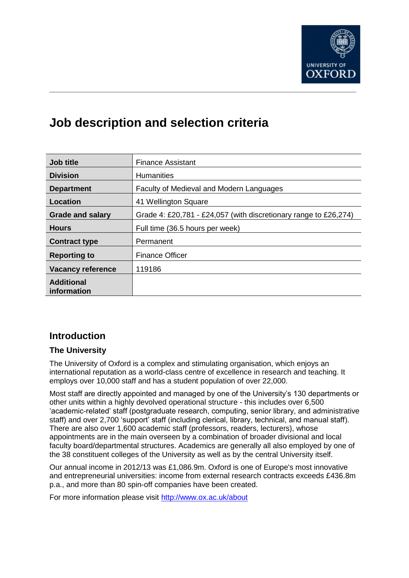

# **Job description and selection criteria**

| Job title                        | <b>Finance Assistant</b>                                         |
|----------------------------------|------------------------------------------------------------------|
| <b>Division</b>                  | <b>Humanities</b>                                                |
| <b>Department</b>                | Faculty of Medieval and Modern Languages                         |
| Location                         | 41 Wellington Square                                             |
| <b>Grade and salary</b>          | Grade 4: £20,781 - £24,057 (with discretionary range to £26,274) |
| <b>Hours</b>                     | Full time (36.5 hours per week)                                  |
| <b>Contract type</b>             | Permanent                                                        |
| <b>Reporting to</b>              | <b>Finance Officer</b>                                           |
| <b>Vacancy reference</b>         | 119186                                                           |
| <b>Additional</b><br>information |                                                                  |

# **Introduction**

## **The University**

The University of Oxford is a complex and stimulating organisation, which enjoys an international reputation as a world-class centre of excellence in research and teaching. It employs over 10,000 staff and has a student population of over 22,000.

Most staff are directly appointed and managed by one of the University's 130 departments or other units within a highly devolved operational structure - this includes over 6,500 'academic-related' staff (postgraduate research, computing, senior library, and administrative staff) and over 2,700 'support' staff (including clerical, library, technical, and manual staff). There are also over 1,600 academic staff (professors, readers, lecturers), whose appointments are in the main overseen by a combination of broader divisional and local faculty board/departmental structures. Academics are generally all also employed by one of the 38 constituent colleges of the University as well as by the central University itself.

Our annual income in 2012/13 was £1,086.9m. Oxford is one of Europe's most innovative and entrepreneurial universities: income from external research contracts exceeds £436.8m p.a., and more than 80 spin-off companies have been created.

For more information please visit<http://www.ox.ac.uk/about>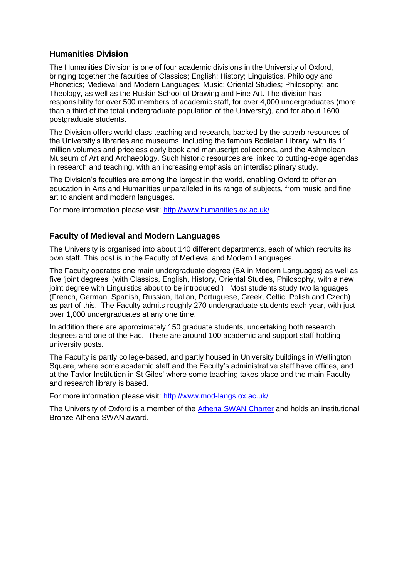#### **Humanities Division**

The Humanities Division is one of four academic divisions in the University of Oxford, bringing together the faculties of Classics; English; History; Linguistics, Philology and Phonetics; Medieval and Modern Languages; Music; Oriental Studies; Philosophy; and Theology, as well as the Ruskin School of Drawing and Fine Art. The division has responsibility for over 500 members of academic staff, for over 4,000 undergraduates (more than a third of the total undergraduate population of the University), and for about 1600 postgraduate students.

The Division offers world-class teaching and research, backed by the superb resources of the University's libraries and museums, including the famous Bodleian Library, with its 11 million volumes and priceless early book and manuscript collections, and the Ashmolean Museum of Art and Archaeology. Such historic resources are linked to cutting-edge agendas in research and teaching, with an increasing emphasis on interdisciplinary study.

The Division's faculties are among the largest in the world, enabling Oxford to offer an education in Arts and Humanities unparalleled in its range of subjects, from music and fine art to ancient and modern languages.

For more information please visit:<http://www.humanities.ox.ac.uk/>

## **Faculty of Medieval and Modern Languages**

The University is organised into about 140 different departments, each of which recruits its own staff. This post is in the Faculty of Medieval and Modern Languages.

The Faculty operates one main undergraduate degree (BA in Modern Languages) as well as five 'joint degrees' (with Classics, English, History, Oriental Studies, Philosophy, with a new joint degree with Linguistics about to be introduced.) Most students study two languages (French, German, Spanish, Russian, Italian, Portuguese, Greek, Celtic, Polish and Czech) as part of this. The Faculty admits roughly 270 undergraduate students each year, with just over 1,000 undergraduates at any one time.

In addition there are approximately 150 graduate students, undertaking both research degrees and one of the Fac. There are around 100 academic and support staff holding university posts.

The Faculty is partly college-based, and partly housed in University buildings in Wellington Square, where some academic staff and the Faculty's administrative staff have offices, and at the Taylor Institution in St Giles' where some teaching takes place and the main Faculty and research library is based.

For more information please visit:<http://www.mod-langs.ox.ac.uk/>

The University of Oxford is a member of the [Athena SWAN Charter](http://www.athenaswan.org.uk/) and holds an institutional Bronze Athena SWAN award.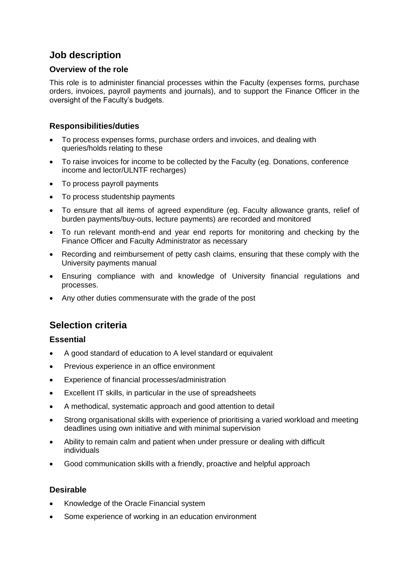# **Job description**

## **Overview of the role**

This role is to administer financial processes within the Faculty (expenses forms, purchase orders, invoices, payroll payments and journals), and to support the Finance Officer in the oversight of the Faculty's budgets.

## **Responsibilities/duties**

- To process expenses forms, purchase orders and invoices, and dealing with queries/holds relating to these
- To raise invoices for income to be collected by the Faculty (eg. Donations, conference income and lector/ULNTF recharges)
- To process payroll payments
- To process studentship payments
- To ensure that all items of agreed expenditure (eg. Faculty allowance grants, relief of burden payments/buy-outs, lecture payments) are recorded and monitored
- To run relevant month-end and year end reports for monitoring and checking by the Finance Officer and Faculty Administrator as necessary
- Recording and reimbursement of petty cash claims, ensuring that these comply with the University payments manual
- Ensuring compliance with and knowledge of University financial regulations and processes.
- Any other duties commensurate with the grade of the post

# **Selection criteria**

## **Essential**

- A good standard of education to A level standard or equivalent
- Previous experience in an office environment
- Experience of financial processes/administration
- Excellent IT skills, in particular in the use of spreadsheets
- A methodical, systematic approach and good attention to detail
- Strong organisational skills with experience of prioritising a varied workload and meeting deadlines using own initiative and with minimal supervision
- Ability to remain calm and patient when under pressure or dealing with difficult individuals
- Good communication skills with a friendly, proactive and helpful approach

## **Desirable**

- Knowledge of the Oracle Financial system
- Some experience of working in an education environment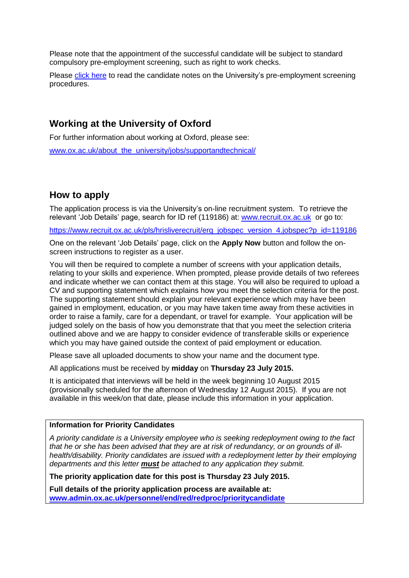Please note that the appointment of the successful candidate will be subject to standard compulsory pre-employment screening, such as right to work checks.

Please [click here](http://www.ox.ac.uk/about_the_university/jobs/preemploymentscreening/) to read the candidate notes on the University's pre-employment screening procedures.

# **Working at the University of Oxford**

For further information about working at Oxford, please see:

[www.ox.ac.uk/about\\_the\\_university/jobs/supportandtechnical/](http://www.ox.ac.uk/about_the_university/jobs/supportandtechnical/)

# **How to apply**

The application process is via the University's on-line recruitment system. To retrieve the relevant 'Job Details' page, search for ID ref (119186) at: [www.recruit.ox.ac.uk](http://www.recruit.ox.ac.uk/) or go to:

https://www.recruit.ox.ac.uk/pls/hrisliverecruit/erg\_iobspec\_version\_4.jobspec?p\_id=119186

One on the relevant 'Job Details' page, click on the **Apply Now** button and follow the onscreen instructions to register as a user.

You will then be required to complete a number of screens with your application details, relating to your skills and experience. When prompted, please provide details of two referees and indicate whether we can contact them at this stage. You will also be required to upload a CV and supporting statement which explains how you meet the selection criteria for the post. The supporting statement should explain your relevant experience which may have been gained in employment, education, or you may have taken time away from these activities in order to raise a family, care for a dependant, or travel for example. Your application will be judged solely on the basis of how you demonstrate that that you meet the selection criteria outlined above and we are happy to consider evidence of transferable skills or experience which you may have gained outside the context of paid employment or education.

Please save all uploaded documents to show your name and the document type.

All applications must be received by **midday** on **Thursday 23 July 2015.**

It is anticipated that interviews will be held in the week beginning 10 August 2015 (provisionally scheduled for the afternoon of Wednesday 12 August 2015). If you are not available in this week/on that date, please include this information in your application.

#### **Information for Priority Candidates**

*A priority candidate is a University employee who is seeking redeployment owing to the fact that he or she has been advised that they are at risk of redundancy, or on grounds of illhealth/disability. Priority candidates are issued with a redeployment letter by their employing departments and this letter must be attached to any application they submit.* 

**The priority application date for this post is Thursday 23 July 2015.**

**Full details of the priority application process are available at: [www.admin.ox.ac.uk/personnel/end/red/redproc/prioritycandidate](http://www.admin.ox.ac.uk/personnel/end/red/redproc/prioritycandidate)**